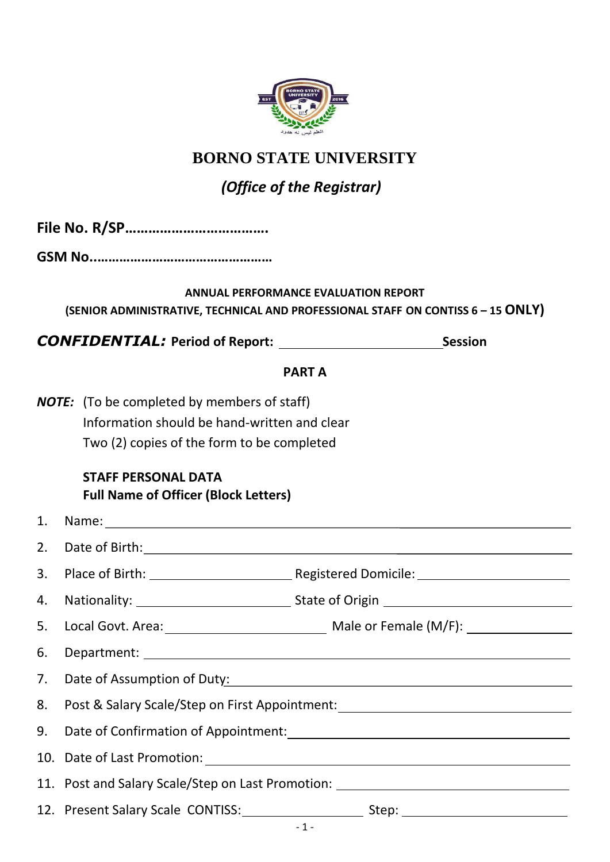

# **BORNO STATE UNIVERSITY**

# *(Office of the Registrar)*

|    | (SENIOR ADMINISTRATIVE, TECHNICAL AND PROFESSIONAL STAFF ON CONTISS 6 - 15 ONLY)                               | <b>ANNUAL PERFORMANCE EVALUATION REPORT</b> |                |
|----|----------------------------------------------------------------------------------------------------------------|---------------------------------------------|----------------|
|    |                                                                                                                |                                             | <b>Session</b> |
|    |                                                                                                                | <b>PARTA</b>                                |                |
|    | <b>NOTE:</b> (To be completed by members of staff)                                                             |                                             |                |
|    | Information should be hand-written and clear                                                                   |                                             |                |
|    | Two (2) copies of the form to be completed                                                                     |                                             |                |
|    | <b>STAFF PERSONAL DATA</b><br><b>Full Name of Officer (Block Letters)</b>                                      |                                             |                |
| 1. |                                                                                                                |                                             |                |
| 2. |                                                                                                                |                                             |                |
| 3. |                                                                                                                |                                             |                |
| 4. |                                                                                                                |                                             |                |
| 5. |                                                                                                                |                                             |                |
| 6. |                                                                                                                |                                             |                |
| 7. | Date of Assumption of Duty: 2008 2010 2020 2020 2020 2021 2021 2022 2021 2021 2021 2022 2023 2024 2021 2022 20 |                                             |                |
| 8. | Post & Salary Scale/Step on First Appointment: _________________________________                               |                                             |                |
| 9. |                                                                                                                |                                             |                |
|    |                                                                                                                |                                             |                |
|    | 11. Post and Salary Scale/Step on Last Promotion: ______________________________                               |                                             |                |
|    |                                                                                                                |                                             |                |
|    |                                                                                                                | $-1$ $-1$                                   |                |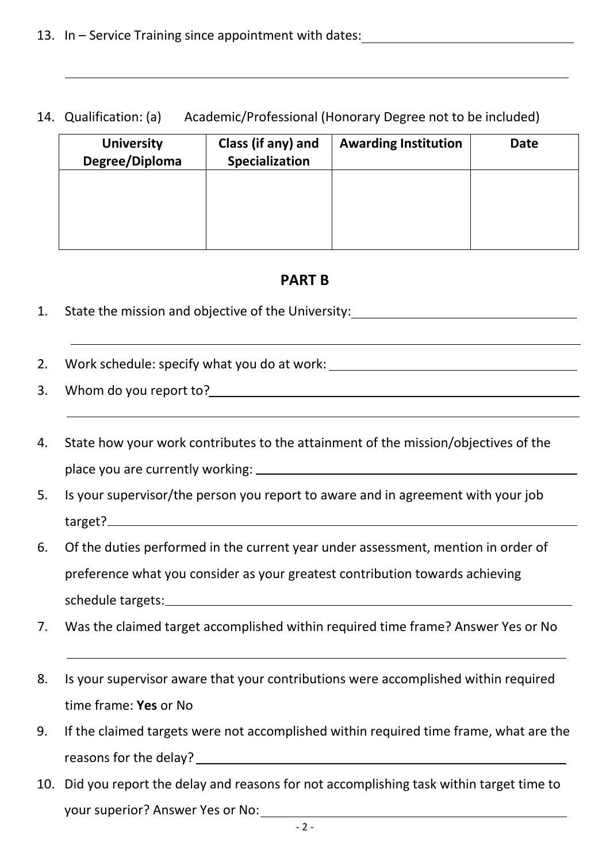## 14. Qualification: (a) Academic/Professional (Honorary Degree not to be included)

| <b>University</b><br>Degree/Diploma | Class (if any) and<br>Specialization | <b>Awarding Institution</b> | <b>Date</b> |
|-------------------------------------|--------------------------------------|-----------------------------|-------------|
|                                     |                                      |                             |             |
|                                     |                                      |                             |             |
|                                     |                                      |                             |             |

# **PART B**

- 1. State the mission and objective of the University:
- 2. Work schedule: specify what you do at work:
- 3. Whom do you report to?
- 4. State how your work contributes to the attainment of the mission/objectives of the place you are currently working:
- 5. Is your supervisor/the person you report to aware and in agreement with your job target?
- 6. Of the duties performed in the current year under assessment, mention in order of preference what you consider as your greatest contribution towards achieving schedule targets:
- 7. Was the claimed target accomplished within required time frame? Answer Yes or No
- 8. Is your supervisor aware that your contributions were accomplished within required time frame: **Yes** or No
- 9. If the claimed targets were not accomplished within required time frame, what are the reasons for the delay?
- 10. Did you report the delay and reasons for not accomplishing task within target time to your superior? Answer Yes or No: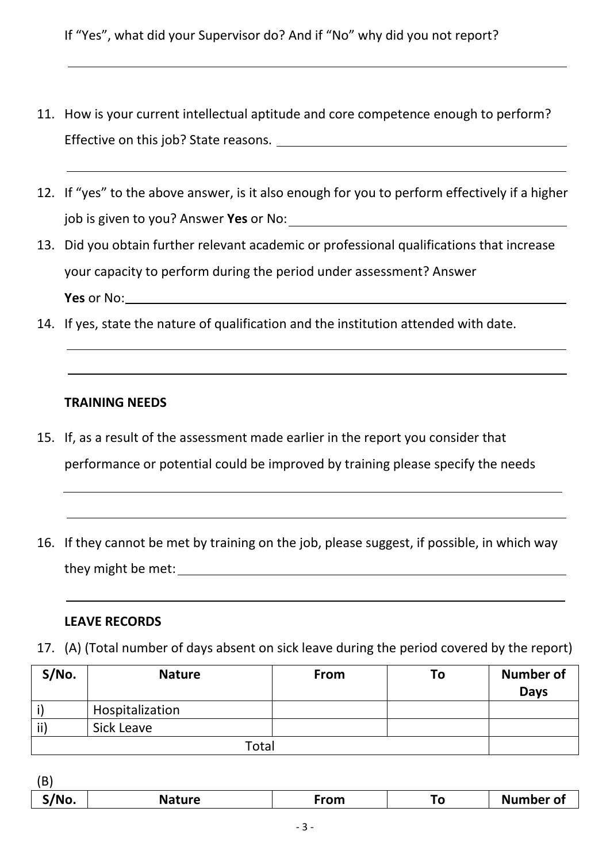If "Yes", what did your Supervisor do? And if "No" why did you not report?

- 11. How is your current intellectual aptitude and core competence enough to perform? Effective on this job? State reasons.
- 12. If "yes" to the above answer, is it also enough for you to perform effectively if a higher job is given to you? Answer **Yes** or No:
- 13. Did you obtain further relevant academic or professional qualifications that increase your capacity to perform during the period under assessment? Answer **Yes** or No:
- 14. If yes, state the nature of qualification and the institution attended with date.

### **TRAINING NEEDS**

- 15. If, as a result of the assessment made earlier in the report you consider that performance or potential could be improved by training please specify the needs
- 16. If they cannot be met by training on the job, please suggest, if possible, in which way they might be met:

### **LEAVE RECORDS**

17. (A) (Total number of days absent on sick leave during the period covered by the report)

| S/No. | <b>Nature</b>   | From | To | <b>Number of</b> |
|-------|-----------------|------|----|------------------|
|       |                 |      |    | <b>Days</b>      |
|       | Hospitalization |      |    |                  |
| ii)   | Sick Leave      |      |    |                  |
|       | Total           |      |    |                  |

| 10              |               |      |    |                  |
|-----------------|---------------|------|----|------------------|
| $^{\circ}$ /No. | <b>Nature</b> | From | го | <b>Number of</b> |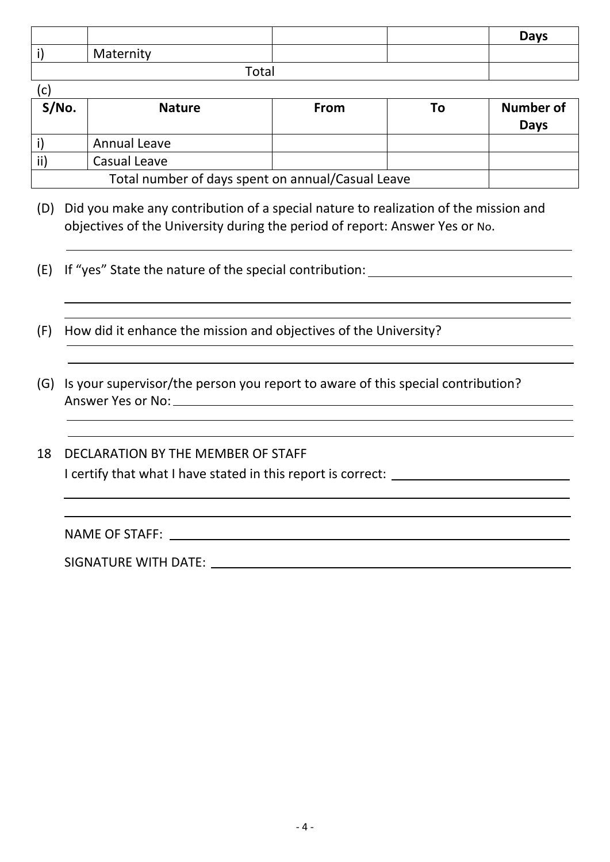|       |           |  |  | <b>Days</b> |
|-------|-----------|--|--|-------------|
|       | Maternity |  |  |             |
| Total |           |  |  |             |

 $(c)$ 

| S/No.                                             | <b>Nature</b> | <b>From</b> | Тο | Number of<br><b>Days</b> |
|---------------------------------------------------|---------------|-------------|----|--------------------------|
|                                                   | Annual Leave  |             |    |                          |
|                                                   | Casual Leave  |             |    |                          |
| Total number of days spent on annual/Casual Leave |               |             |    |                          |

- (D) Did you make any contribution of a special nature to realization of the mission and objectives of the University during the period of report: Answer Yes or No.
- (E) If "yes" State the nature of the special contribution:
- (F) How did it enhance the mission and objectives of the University?
- (G) Is your supervisor/the person you report to aware of this special contribution? Answer Yes or No:
- 18 DECLARATION BY THE MEMBER OF STAFF I certify that what I have stated in this report is correct: \_\_\_\_\_\_\_\_\_\_\_\_\_\_\_\_\_\_\_\_

NAME OF STAFF:

SIGNATURE WITH DATE: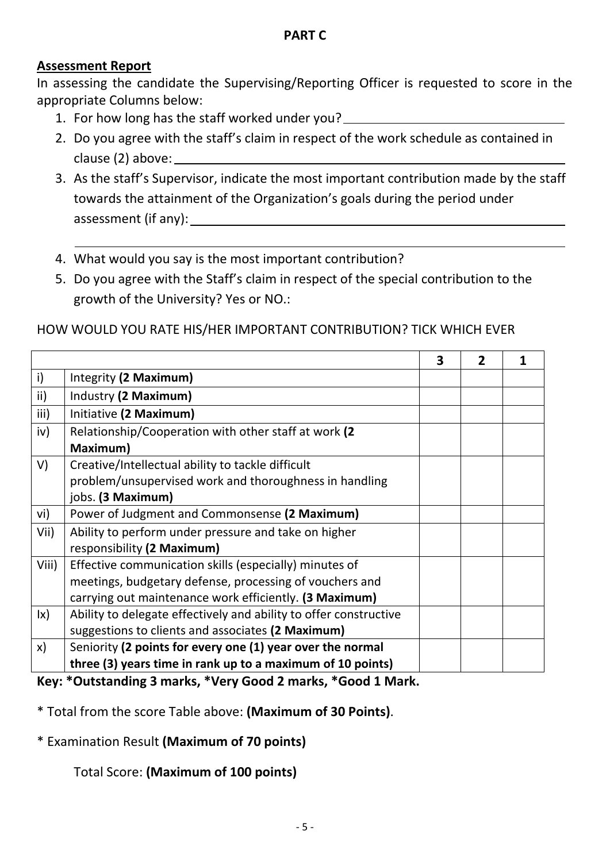# **Assessment Report**

In assessing the candidate the Supervising/Reporting Officer is requested to score in the appropriate Columns below:

- 1. For how long has the staff worked under you?
- 2. Do you agree with the staff's claim in respect of the work schedule as contained in clause (2) above:
- 3. As the staff's Supervisor, indicate the most important contribution made by the staff towards the attainment of the Organization's goals during the period under assessment (if any):
- 4. What would you say is the most important contribution?
- 5. Do you agree with the Staff's claim in respect of the special contribution to the growth of the University? Yes or NO.:

## HOW WOULD YOU RATE HIS/HER IMPORTANT CONTRIBUTION? TICK WHICH EVER

|                        |                                                                   | 3 | $\overline{2}$ |  |
|------------------------|-------------------------------------------------------------------|---|----------------|--|
| $\mathsf{i}$           | Integrity (2 Maximum)                                             |   |                |  |
| ii)                    | Industry (2 Maximum)                                              |   |                |  |
| iii)                   | Initiative (2 Maximum)                                            |   |                |  |
| iv)                    | Relationship/Cooperation with other staff at work (2              |   |                |  |
|                        | Maximum)                                                          |   |                |  |
| V)                     | Creative/Intellectual ability to tackle difficult                 |   |                |  |
|                        | problem/unsupervised work and thoroughness in handling            |   |                |  |
|                        | jobs. (3 Maximum)                                                 |   |                |  |
| vi)                    | Power of Judgment and Commonsense (2 Maximum)                     |   |                |  |
| Vii)                   | Ability to perform under pressure and take on higher              |   |                |  |
|                        | responsibility (2 Maximum)                                        |   |                |  |
| Viii)                  | Effective communication skills (especially) minutes of            |   |                |  |
|                        | meetings, budgetary defense, processing of vouchers and           |   |                |  |
|                        | carrying out maintenance work efficiently. (3 Maximum)            |   |                |  |
| $\mathsf{I}\mathsf{x}$ | Ability to delegate effectively and ability to offer constructive |   |                |  |
|                        | suggestions to clients and associates (2 Maximum)                 |   |                |  |
| X)                     | Seniority (2 points for every one (1) year over the normal        |   |                |  |
|                        | three (3) years time in rank up to a maximum of 10 points)        |   |                |  |

### **Key: \*Outstanding 3 marks, \*Very Good 2 marks, \*Good 1 Mark.**

\* Total from the score Table above: **(Maximum of 30 Points)**.

## \* Examination Result **(Maximum of 70 points)**

Total Score: **(Maximum of 100 points)**